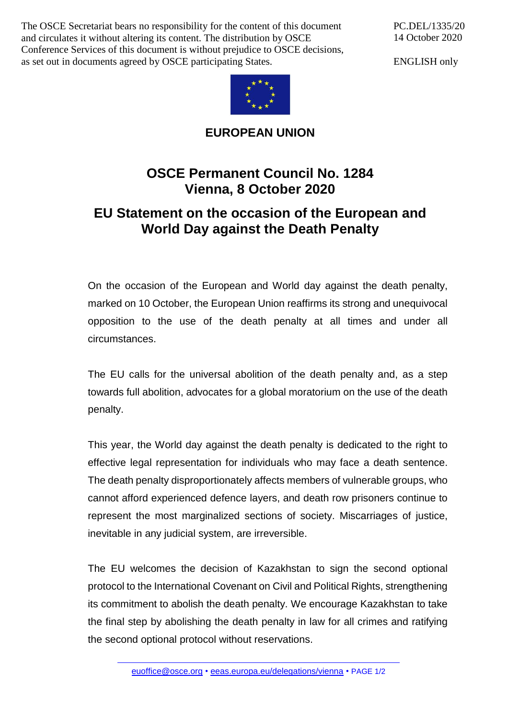The OSCE Secretariat bears no responsibility for the content of this document and circulates it without altering its content. The distribution by OSCE Conference Services of this document is without prejudice to OSCE decisions, as set out in documents agreed by OSCE participating States.

PC.DEL/1335/20 14 October 2020

ENGLISH only



**EUROPEAN UNION**

## **OSCE Permanent Council No. 1284 Vienna, 8 October 2020**

## **EU Statement on the occasion of the European and World Day against the Death Penalty**

On the occasion of the European and World day against the death penalty, marked on 10 October, the European Union reaffirms its strong and unequivocal opposition to the use of the death penalty at all times and under all circumstances.

The EU calls for the universal abolition of the death penalty and, as a step towards full abolition, advocates for a global moratorium on the use of the death penalty.

This year, the World day against the death penalty is dedicated to the right to effective legal representation for individuals who may face a death sentence. The death penalty disproportionately affects members of vulnerable groups, who cannot afford experienced defence layers, and death row prisoners continue to represent the most marginalized sections of society. Miscarriages of justice, inevitable in any judicial system, are irreversible.

The EU welcomes the decision of Kazakhstan to sign the second optional protocol to the International Covenant on Civil and Political Rights, strengthening its commitment to abolish the death penalty. We encourage Kazakhstan to take the final step by abolishing the death penalty in law for all crimes and ratifying the second optional protocol without reservations.